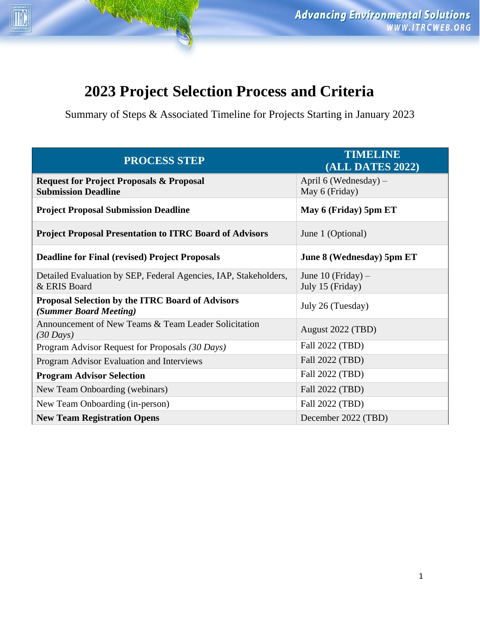# **2023 Project Selection Process and Criteria**

NH

Summary of Steps & Associated Timeline for Projects Starting in January 2023

| <b>PROCESS STEP</b>                                                               | <b>TIMELINE</b><br><b>(ALL DATES 2022)</b> |
|-----------------------------------------------------------------------------------|--------------------------------------------|
| <b>Request for Project Proposals &amp; Proposal</b><br><b>Submission Deadline</b> | April 6 (Wednesday) $-$<br>May 6 (Friday)  |
| <b>Project Proposal Submission Deadline</b>                                       | May 6 (Friday) 5pm ET                      |
| <b>Project Proposal Presentation to ITRC Board of Advisors</b>                    | June 1 (Optional)                          |
| <b>Deadline for Final (revised) Project Proposals</b>                             | June 8 (Wednesday) 5pm ET                  |
| Detailed Evaluation by SEP, Federal Agencies, IAP, Stakeholders,<br>& ERIS Board  | June 10 (Friday) $-$<br>July 15 (Friday)   |
| <b>Proposal Selection by the ITRC Board of Advisors</b><br>(Summer Board Meeting) | July 26 (Tuesday)                          |
| Announcement of New Teams & Team Leader Solicitation<br>$(30 \text{ Days})$       | August 2022 (TBD)                          |
| Program Advisor Request for Proposals (30 Days)                                   | Fall 2022 (TBD)                            |
| Program Advisor Evaluation and Interviews                                         | Fall 2022 (TBD)                            |
| <b>Program Advisor Selection</b>                                                  | Fall 2022 (TBD)                            |
| New Team Onboarding (webinars)                                                    | Fall 2022 (TBD)                            |
| New Team Onboarding (in-person)                                                   | Fall 2022 (TBD)                            |
| <b>New Team Registration Opens</b>                                                | December 2022 (TBD)                        |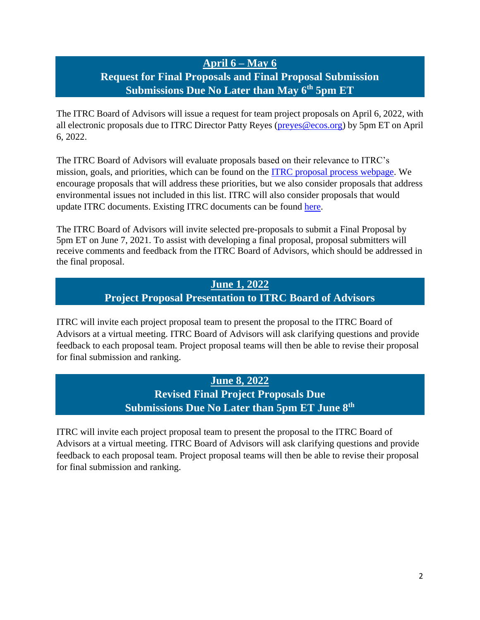# **April 6 – May 6**

## **Request for Final Proposals and Final Proposal Submission Submissions Due No Later than May 6th 5pm ET**

The ITRC Board of Advisors will issue a request for team project proposals on April 6, 2022, with all electronic proposals due to ITRC Director Patty Reyes [\(preyes@ecos.org\)](mailto:preyes@ecos.org) by 5pm ET on April 6, 2022.

The ITRC Board of Advisors will evaluate proposals based on their relevance to ITRC's mission, goals, and priorities, which can be found on the [ITRC proposal process webpage.](https://itrcweb.org/About/Planning) We encourage proposals that will address these priorities, but we also consider proposals that address environmental issues not included in this list. ITRC will also consider proposals that would update ITRC documents. Existing ITRC documents can be found [here.](https://www.itrcweb.org/Guidance)

The ITRC Board of Advisors will invite selected pre-proposals to submit a Final Proposal by 5pm ET on June 7, 2021. To assist with developing a final proposal, proposal submitters will receive comments and feedback from the ITRC Board of Advisors, which should be addressed in the final proposal.

## **June 1, 2022 Project Proposal Presentation to ITRC Board of Advisors**

ITRC will invite each project proposal team to present the proposal to the ITRC Board of Advisors at a virtual meeting. ITRC Board of Advisors will ask clarifying questions and provide feedback to each proposal team. Project proposal teams will then be able to revise their proposal for final submission and ranking.

#### **June 8, 2022**

**Revised Final Project Proposals Due Submissions Due No Later than 5pm ET June 8th**

ITRC will invite each project proposal team to present the proposal to the ITRC Board of Advisors at a virtual meeting. ITRC Board of Advisors will ask clarifying questions and provide feedback to each proposal team. Project proposal teams will then be able to revise their proposal for final submission and ranking.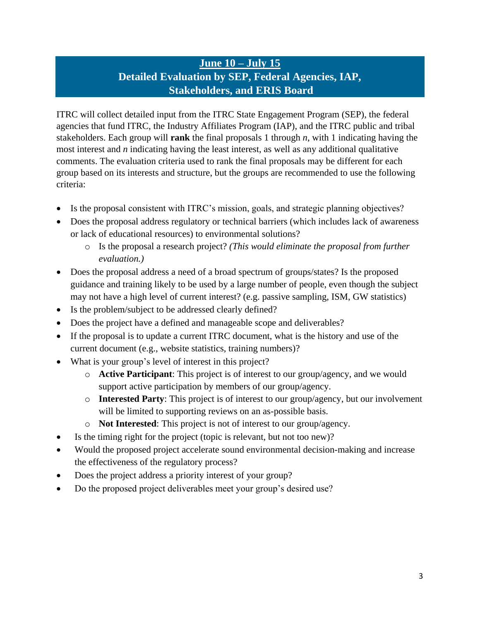## **June 10 – July 15 Detailed Evaluation by SEP, Federal Agencies, IAP, Stakeholders, and ERIS Board**

ITRC will collect detailed input from the ITRC State Engagement Program (SEP), the federal agencies that fund ITRC, the Industry Affiliates Program (IAP), and the ITRC public and tribal stakeholders. Each group will **rank** the final proposals 1 through *n*, with 1 indicating having the most interest and *n* indicating having the least interest, as well as any additional qualitative comments. The evaluation criteria used to rank the final proposals may be different for each group based on its interests and structure, but the groups are recommended to use the following criteria:

- Is the proposal consistent with ITRC's mission, goals, and strategic planning objectives?
- Does the proposal address regulatory or technical barriers (which includes lack of awareness or lack of educational resources) to environmental solutions?
	- o Is the proposal a research project? *(This would eliminate the proposal from further evaluation.)*
- Does the proposal address a need of a broad spectrum of groups/states? Is the proposed guidance and training likely to be used by a large number of people, even though the subject may not have a high level of current interest? (e.g. passive sampling, ISM, GW statistics)
- Is the problem/subject to be addressed clearly defined?
- Does the project have a defined and manageable scope and deliverables?
- If the proposal is to update a current ITRC document, what is the history and use of the current document (e.g., website statistics, training numbers)?
- What is your group's level of interest in this project?
	- o **Active Participant**: This project is of interest to our group/agency, and we would support active participation by members of our group/agency.
	- o **Interested Party**: This project is of interest to our group/agency, but our involvement will be limited to supporting reviews on an as-possible basis.
	- o **Not Interested**: This project is not of interest to our group/agency.
- Is the timing right for the project (topic is relevant, but not too new)?
- Would the proposed project accelerate sound environmental decision-making and increase the effectiveness of the regulatory process?
- Does the project address a priority interest of your group?
- Do the proposed project deliverables meet your group's desired use?